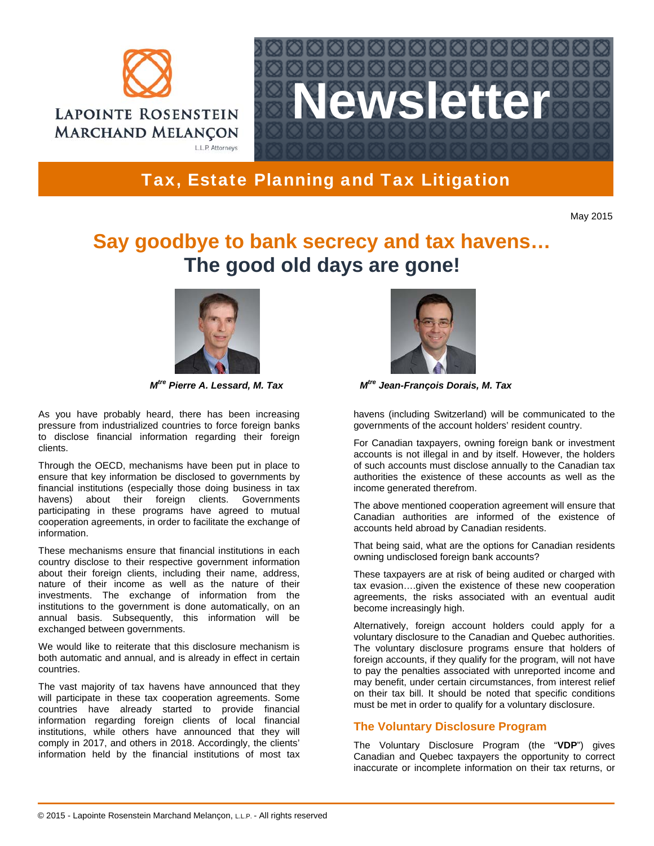



## Tax, Estate Planning and Tax Litigation

May 2015

# **Say goodbye to bank secrecy and tax havens… The good old days are gone!**



As you have probably heard, there has been increasing pressure from industrialized countries to force foreign banks to disclose financial information regarding their foreign clients.

Through the OECD, mechanisms have been put in place to ensure that key information be disclosed to governments by financial institutions (especially those doing business in tax havens) about their foreign clients. Governments participating in these programs have agreed to mutual cooperation agreements, in order to facilitate the exchange of information.

These mechanisms ensure that financial institutions in each country disclose to their respective government information about their foreign clients, including their name, address, nature of their income as well as the nature of their investments. The exchange of information from the institutions to the government is done automatically, on an annual basis. Subsequently, this information will be exchanged between governments.

We would like to reiterate that this disclosure mechanism is both automatic and annual, and is already in effect in certain countries.

The vast majority of tax havens have announced that they will participate in these tax cooperation agreements. Some countries have already started to provide financial information regarding foreign clients of local financial institutions, while others have announced that they will comply in 2017, and others in 2018. Accordingly, the clients' information held by the financial institutions of most tax



*M*<sup>tre</sup> Pierre A. Lessard, M. Tax M<sup>tre</sup> Jean-François Dorais, M. Tax

havens (including Switzerland) will be communicated to the governments of the account holders' resident country.

For Canadian taxpayers, owning foreign bank or investment accounts is not illegal in and by itself. However, the holders of such accounts must disclose annually to the Canadian tax authorities the existence of these accounts as well as the income generated therefrom.

The above mentioned cooperation agreement will ensure that Canadian authorities are informed of the existence of accounts held abroad by Canadian residents.

That being said, what are the options for Canadian residents owning undisclosed foreign bank accounts?

These taxpayers are at risk of being audited or charged with tax evasion….given the existence of these new cooperation agreements, the risks associated with an eventual audit become increasingly high.

Alternatively, foreign account holders could apply for a voluntary disclosure to the Canadian and Quebec authorities. The voluntary disclosure programs ensure that holders of foreign accounts, if they qualify for the program, will not have to pay the penalties associated with unreported income and may benefit, under certain circumstances, from interest relief on their tax bill. It should be noted that specific conditions must be met in order to qualify for a voluntary disclosure.

### **The Voluntary Disclosure Program**

The Voluntary Disclosure Program (the "**VDP**") gives Canadian and Quebec taxpayers the opportunity to correct inaccurate or incomplete information on their tax returns, or